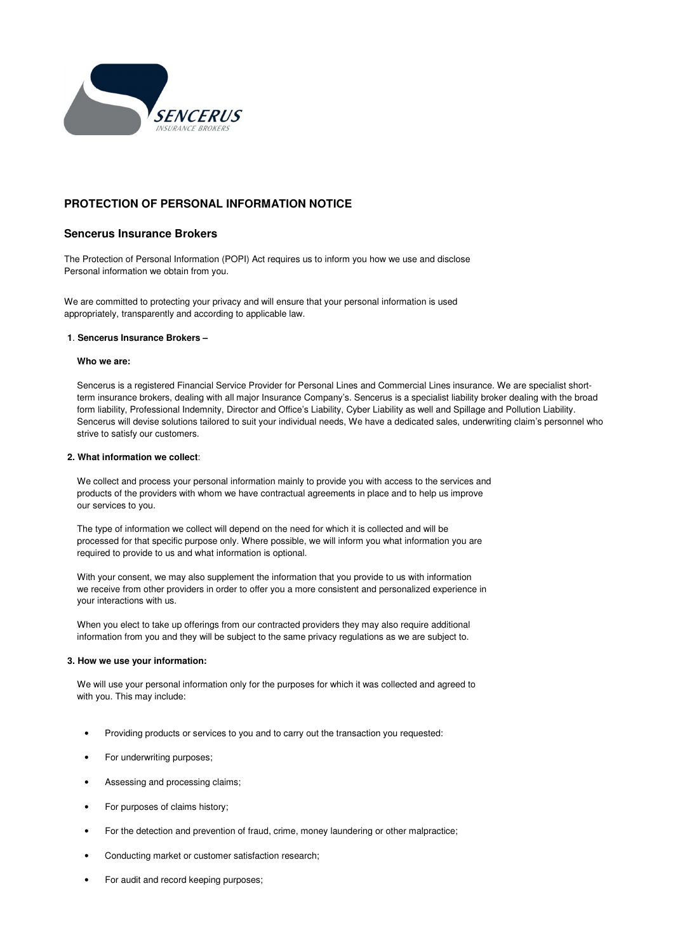

# **PROTECTION OF PERSONAL INFORMATION NOTICE**

## **Sencerus Insurance Brokers**

The Protection of Personal Information (POPI) Act requires us to inform you how we use and disclose Personal information we obtain from you.

We are committed to protecting your privacy and will ensure that your personal information is used appropriately, transparently and according to applicable law.

#### **1**. **Sencerus Insurance Brokers –**

#### **Who we are:**

Sencerus is a registered Financial Service Provider for Personal Lines and Commercial Lines insurance. We are specialist shortterm insurance brokers, dealing with all major Insurance Company's. Sencerus is a specialist liability broker dealing with the broad form liability, Professional Indemnity, Director and Office's Liability, Cyber Liability as well and Spillage and Pollution Liability. Sencerus will devise solutions tailored to suit your individual needs, We have a dedicated sales, underwriting claim's personnel who strive to satisfy our customers.

#### **2. What information we collect**:

We collect and process your personal information mainly to provide you with access to the services and products of the providers with whom we have contractual agreements in place and to help us improve our services to you.

The type of information we collect will depend on the need for which it is collected and will be processed for that specific purpose only. Where possible, we will inform you what information you are required to provide to us and what information is optional.

With your consent, we may also supplement the information that you provide to us with information we receive from other providers in order to offer you a more consistent and personalized experience in your interactions with us.

When you elect to take up offerings from our contracted providers they may also require additional information from you and they will be subject to the same privacy regulations as we are subject to.

#### **3. How we use your information:**

We will use your personal information only for the purposes for which it was collected and agreed to with you. This may include:

- Providing products or services to you and to carry out the transaction you requested:
- For underwriting purposes;
- Assessing and processing claims;
- For purposes of claims history;
- For the detection and prevention of fraud, crime, money laundering or other malpractice;
- Conducting market or customer satisfaction research;
- For audit and record keeping purposes;